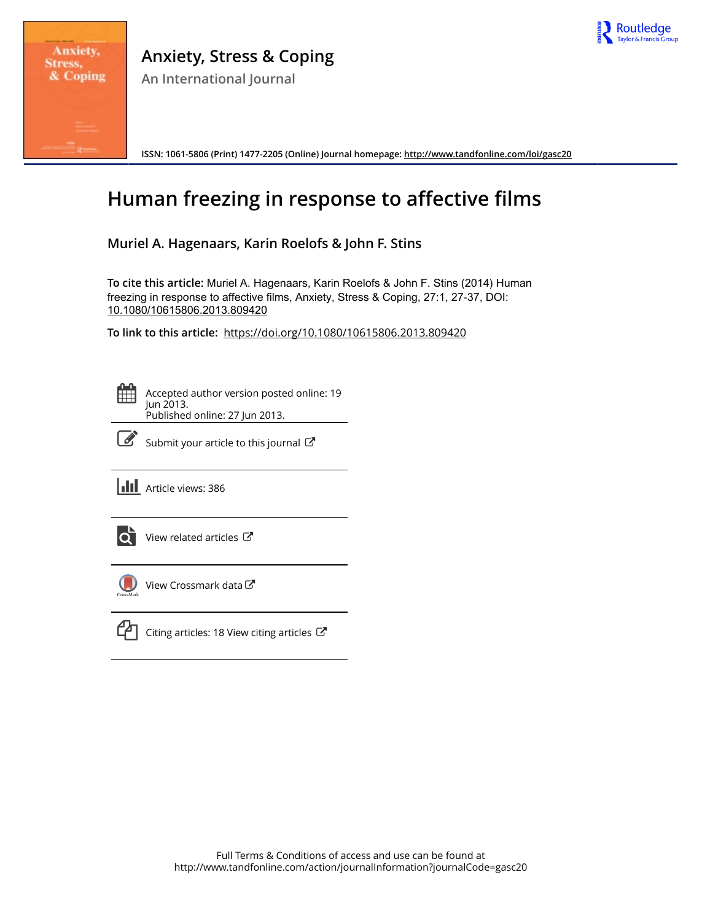



# **Anxiety, Stress & Coping**

**An International Journal**

**ISSN: 1061-5806 (Print) 1477-2205 (Online) Journal homepage:<http://www.tandfonline.com/loi/gasc20>**

# **Human freezing in response to affective films**

# **Muriel A. Hagenaars, Karin Roelofs & John F. Stins**

**To cite this article:** Muriel A. Hagenaars, Karin Roelofs & John F. Stins (2014) Human freezing in response to affective films, Anxiety, Stress & Coping, 27:1, 27-37, DOI: [10.1080/10615806.2013.809420](http://www.tandfonline.com/action/showCitFormats?doi=10.1080/10615806.2013.809420)

**To link to this article:** <https://doi.org/10.1080/10615806.2013.809420>

ĖH

Accepted author version posted online: 19 Jun 2013. Published online: 27 Jun 2013.



 $\mathbb{Z}$  [Submit your article to this journal](http://www.tandfonline.com/action/authorSubmission?journalCode=gasc20&show=instructions)  $\mathbb{Z}$ 

**Article views: 386** 



 $\overrightarrow{Q}$  [View related articles](http://www.tandfonline.com/doi/mlt/10.1080/10615806.2013.809420)  $\overrightarrow{C}$ 



[View Crossmark data](http://crossmark.crossref.org/dialog/?doi=10.1080/10615806.2013.809420&domain=pdf&date_stamp=2013-06-19)



 $\mathbb{C}$  [Citing articles: 18 View citing articles](http://www.tandfonline.com/doi/citedby/10.1080/10615806.2013.809420#tabModule)  $\mathbb{C}$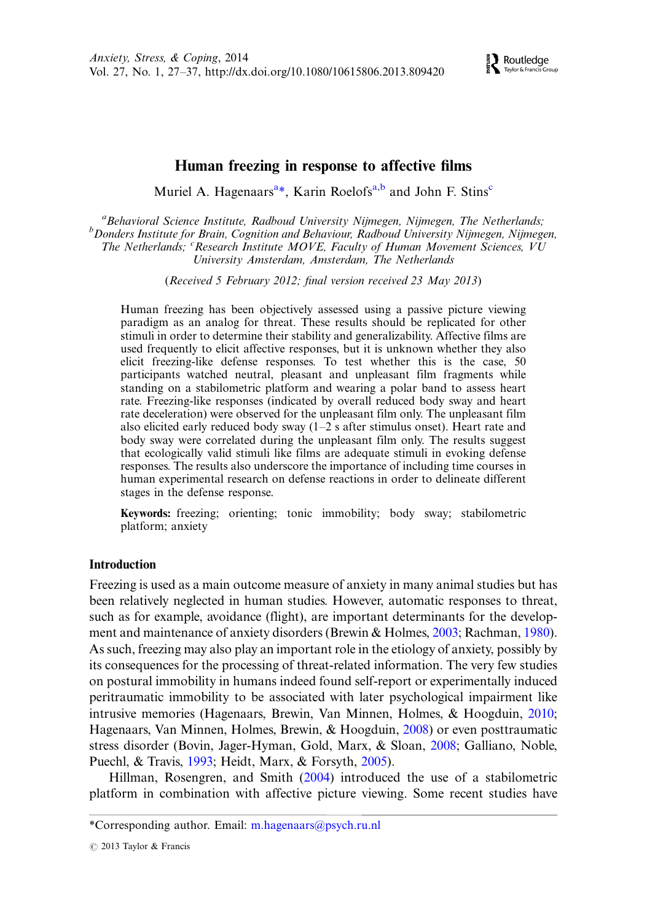# Human freezing in response to affective films

Muriel A. Hagenaars<sup>a\*</sup>, Karin Roelofs<sup>a,b</sup> and John F. Stins<sup>c</sup>

<sup>a</sup> Behavioral Science Institute, Radboud University Nijmegen, Nijmegen, The Netherlands;<br><sup>b</sup> Dondars Institute for Brain Cognition and Behaviour, Radboud University Nijmegen, Nijmeg

 $b$ Donders Institute for Brain, Cognition and Behaviour, Radboud University Nijmegen, Nijmegen, The Netherlands;  $c$ Research Institute MOVE, Faculty of Human Movement Sciences,  $V\bar{U}$ 

University Amsterdam, Amsterdam, The Netherlands

(Received 5 February 2012; final version received 23 May 2013)

Human freezing has been objectively assessed using a passive picture viewing paradigm as an analog for threat. These results should be replicated for other stimuli in order to determine their stability and generalizability. Affective films are used frequently to elicit affective responses, but it is unknown whether they also elicit freezing-like defense responses. To test whether this is the case, 50 participants watched neutral, pleasant and unpleasant film fragments while standing on a stabilometric platform and wearing a polar band to assess heart rate. Freezing-like responses (indicated by overall reduced body sway and heart rate deceleration) were observed for the unpleasant film only. The unpleasant film also elicited early reduced body sway (1-2 s after stimulus onset). Heart rate and body sway were correlated during the unpleasant film only. The results suggest that ecologically valid stimuli like films are adequate stimuli in evoking defense responses. The results also underscore the importance of including time courses in human experimental research on defense reactions in order to delineate different stages in the defense response.

Keywords: freezing; orienting; tonic immobility; body sway; stabilometric platform; anxiety

## Introduction

Freezing is used as a main outcome measure of anxiety in many animal studies but has been relatively neglected in human studies. However, automatic responses to threat, such as for example, avoidance (flight), are important determinants for the development and maintenance of anxiety disorders (Brewin & Holmes, [2003;](#page-10-0) Rachman, [1980](#page-10-0)). As such, freezing may also play an important role in the etiology of anxiety, possibly by its consequences for the processing of threat-related information. The very few studies on postural immobility in humans indeed found self-report or experimentally induced peritraumatic immobility to be associated with later psychological impairment like intrusive memories (Hagenaars, Brewin, Van Minnen, Holmes, & Hoogduin, [2010](#page-10-0); Hagenaars, Van Minnen, Holmes, Brewin, & Hoogduin, [2008](#page-10-0)) or even posttraumatic stress disorder (Bovin, Jager-Hyman, Gold, Marx, & Sloan, [2008](#page-9-0); Galliano, Noble, Puechl, & Travis, [1993](#page-10-0); Heidt, Marx, & Forsyth, [2005](#page-10-0)).

Hillman, Rosengren, and Smith ([2004\)](#page-10-0) introduced the use of a stabilometric platform in combination with affective picture viewing. Some recent studies have

<sup>\*</sup>Corresponding author. Email: [m.hagenaars@psych.ru.nl](mailto:m.hagenaars@psych.ru.nl)

C 2013 Taylor & Francis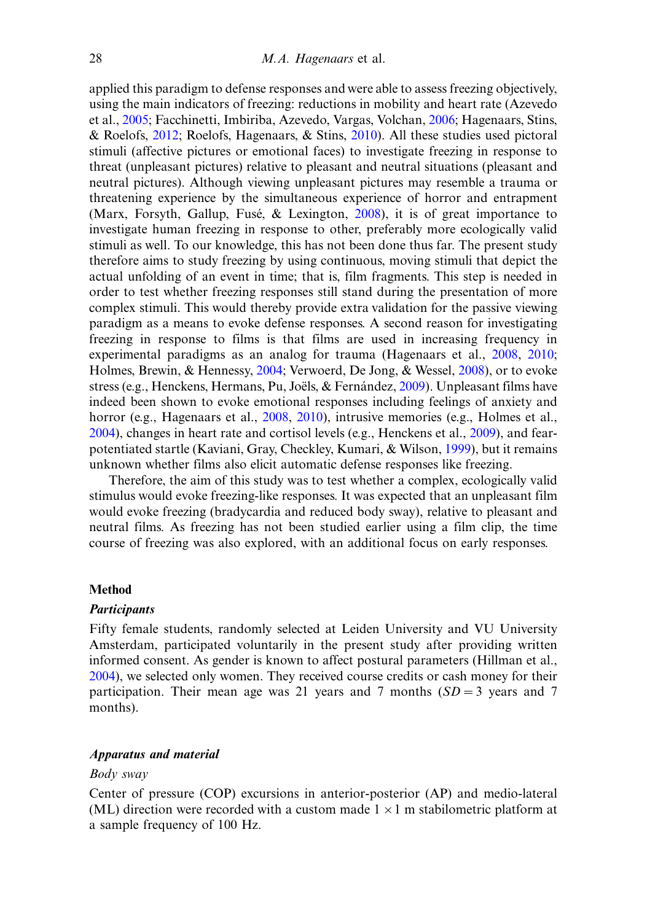applied this paradigm to defense responses and were able to assess freezing objectively, using the main indicators of freezing: reductions in mobility and heart rate (Azevedo et al., [2005](#page-9-0); Facchinetti, Imbiriba, Azevedo, Vargas, Volchan, [2006](#page-10-0); Hagenaars, Stins, & Roelofs, [2012](#page-10-0); Roelofs, Hagenaars, & Stins, [2010\)](#page-11-0). All these studies used pictoral stimuli (affective pictures or emotional faces) to investigate freezing in response to threat (unpleasant pictures) relative to pleasant and neutral situations (pleasant and neutral pictures). Although viewing unpleasant pictures may resemble a trauma or threatening experience by the simultaneous experience of horror and entrapment (Marx, Forsyth, Gallup, Fusé,  $\&$  Lexington, [2008\)](#page-10-0), it is of great importance to investigate human freezing in response to other, preferably more ecologically valid stimuli as well. To our knowledge, this has not been done thus far. The present study therefore aims to study freezing by using continuous, moving stimuli that depict the actual unfolding of an event in time; that is, film fragments. This step is needed in order to test whether freezing responses still stand during the presentation of more complex stimuli. This would thereby provide extra validation for the passive viewing paradigm as a means to evoke defense responses. A second reason for investigating freezing in response to films is that films are used in increasing frequency in experimental paradigms as an analog for trauma (Hagenaars et al., [2008](#page-10-0), [2010](#page-10-0); Holmes, Brewin, & Hennessy, [2004;](#page-10-0) Verwoerd, De Jong, & Wessel, [2008\)](#page-11-0), or to evoke stress (e.g., Henckens, Hermans, Pu, Joëls, & Fernández, [2009](#page-10-0)). Unpleasant films have indeed been shown to evoke emotional responses including feelings of anxiety and horror (e.g., Hagenaars et al., [2008](#page-10-0), [2010](#page-10-0)), intrusive memories (e.g., Holmes et al., [2004\)](#page-10-0), changes in heart rate and cortisol levels (e.g., Henckens et al., [2009](#page-10-0)), and fearpotentiated startle (Kaviani, Gray, Checkley, Kumari, & Wilson, [1999](#page-10-0)), but it remains unknown whether films also elicit automatic defense responses like freezing.

Therefore, the aim of this study was to test whether a complex, ecologically valid stimulus would evoke freezing-like responses. It was expected that an unpleasant film would evoke freezing (bradycardia and reduced body sway), relative to pleasant and neutral films. As freezing has not been studied earlier using a film clip, the time course of freezing was also explored, with an additional focus on early responses.

#### Method

#### **Participants**

Fifty female students, randomly selected at Leiden University and VU University Amsterdam, participated voluntarily in the present study after providing written informed consent. As gender is known to affect postural parameters (Hillman et al., [2004\)](#page-10-0), we selected only women. They received course credits or cash money for their participation. Their mean age was 21 years and 7 months  $(SD=3$  years and 7 months).

# Apparatus and material

#### Body sway

Center of pressure (COP) excursions in anterior-posterior (AP) and medio-lateral (ML) direction were recorded with a custom made  $1 \times 1$  m stabilometric platform at a sample frequency of 100 Hz.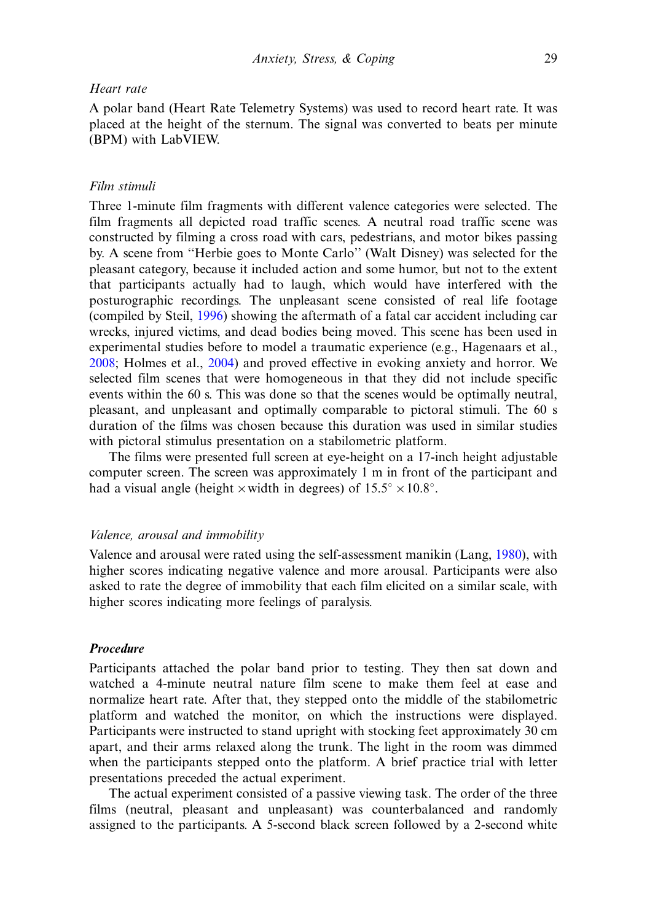## Heart rate

A polar band (Heart Rate Telemetry Systems) was used to record heart rate. It was placed at the height of the sternum. The signal was converted to beats per minute (BPM) with LabVIEW.

# Film stimuli

Three 1-minute film fragments with different valence categories were selected. The film fragments all depicted road traffic scenes. A neutral road traffic scene was constructed by filming a cross road with cars, pedestrians, and motor bikes passing by. A scene from ''Herbie goes to Monte Carlo'' (Walt Disney) was selected for the pleasant category, because it included action and some humor, but not to the extent that participants actually had to laugh, which would have interfered with the posturographic recordings. The unpleasant scene consisted of real life footage (compiled by Steil, [1996](#page-11-0)) showing the aftermath of a fatal car accident including car wrecks, injured victims, and dead bodies being moved. This scene has been used in experimental studies before to model a traumatic experience (e.g., Hagenaars et al., [2008;](#page-10-0) Holmes et al., [2004\)](#page-10-0) and proved effective in evoking anxiety and horror. We selected film scenes that were homogeneous in that they did not include specific events within the 60 s. This was done so that the scenes would be optimally neutral, pleasant, and unpleasant and optimally comparable to pictoral stimuli. The 60 s duration of the films was chosen because this duration was used in similar studies with pictoral stimulus presentation on a stabilometric platform.

The films were presented full screen at eye-height on a 17-inch height adjustable computer screen. The screen was approximately 1 m in front of the participant and had a visual angle (height  $\times$  width in degrees) of 15.5°  $\times$  10.8°.

#### Valence, arousal and immobility

Valence and arousal were rated using the self-assessment manikin (Lang, [1980\)](#page-10-0), with higher scores indicating negative valence and more arousal. Participants were also asked to rate the degree of immobility that each film elicited on a similar scale, with higher scores indicating more feelings of paralysis.

#### Procedure

Participants attached the polar band prior to testing. They then sat down and watched a 4-minute neutral nature film scene to make them feel at ease and normalize heart rate. After that, they stepped onto the middle of the stabilometric platform and watched the monitor, on which the instructions were displayed. Participants were instructed to stand upright with stocking feet approximately 30 cm apart, and their arms relaxed along the trunk. The light in the room was dimmed when the participants stepped onto the platform. A brief practice trial with letter presentations preceded the actual experiment.

The actual experiment consisted of a passive viewing task. The order of the three films (neutral, pleasant and unpleasant) was counterbalanced and randomly assigned to the participants. A 5-second black screen followed by a 2-second white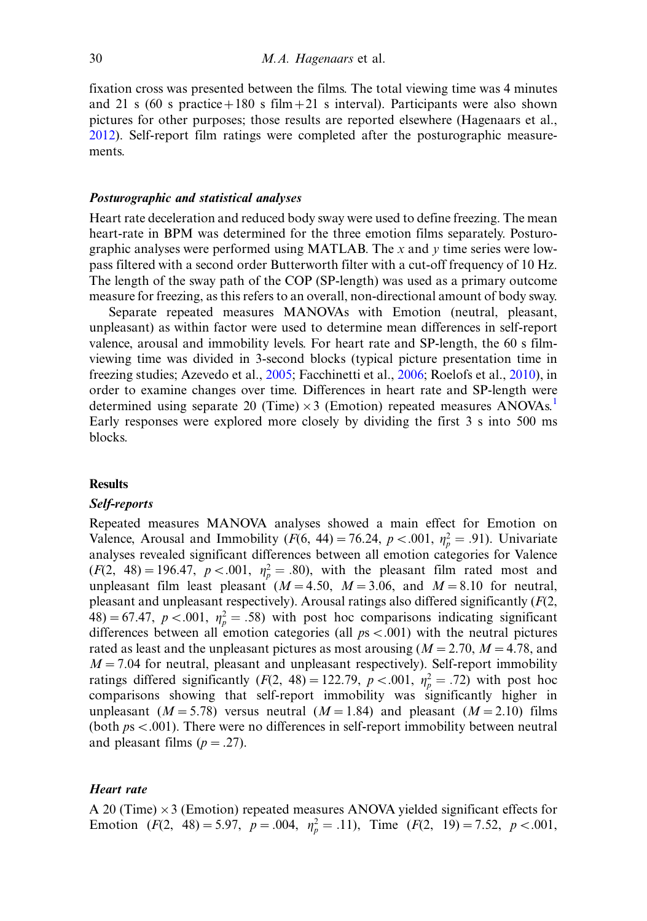fixation cross was presented between the films. The total viewing time was 4 minutes and 21 s (60 s practice + 180 s film + 21 s interval). Participants were also shown pictures for other purposes; those results are reported elsewhere (Hagenaars et al., [2012\)](#page-10-0). Self-report film ratings were completed after the posturographic measurements.

# Posturographic and statistical analyses

Heart rate deceleration and reduced body sway were used to define freezing. The mean heart-rate in BPM was determined for the three emotion films separately. Posturographic analyses were performed using MATLAB. The x and y time series were lowpass filtered with a second order Butterworth filter with a cut-off frequency of 10 Hz. The length of the sway path of the COP (SP-length) was used as a primary outcome measure for freezing, as this refers to an overall, non-directional amount of body sway.

Separate repeated measures MANOVAs with Emotion (neutral, pleasant, unpleasant) as within factor were used to determine mean differences in self-report valence, arousal and immobility levels. For heart rate and SP-length, the 60 s filmviewing time was divided in 3-second blocks (typical picture presentation time in freezing studies; Azevedo et al., [2005;](#page-9-0) Facchinetti et al., [2006](#page-10-0); Roelofs et al., [2010\)](#page-11-0), in order to examine changes over time. Differences in heart rate and SP-length were determined using separate 20 (Time)  $\times$  3 (Emotion) repeated measures ANOVAs.<sup>[1](#page-9-0)</sup> Early responses were explored more closely by dividing the first 3 s into 500 ms blocks.

#### Results

#### Self-reports

Repeated measures MANOVA analyses showed a main effect for Emotion on Valence, Arousal and Immobility ( $F(6, 44) = 76.24$ ,  $p < .001$ ,  $\eta_p^2 = .91$ ). Univariate analyses revealed significant differences between all emotion categories for Valence  $(F(2, 48) = 196.47, p < .001, \eta_p^2 = .80)$ , with the pleasant film rated most and unpleasant film least pleasant  $(M=4.50, M=3.06,$  and  $M=8.10$  for neutral, pleasant and unpleasant respectively). Arousal ratings also differed significantly  $(F(2,$ 48) = 67.47,  $p < .001$ ,  $\eta_p^2 = .58$ ) with post hoc comparisons indicating significant differences between all emotion categories (all  $ps < .001$ ) with the neutral pictures rated as least and the unpleasant pictures as most arousing  $(M=2.70, M=4.78,$  and  $M = 7.04$  for neutral, pleasant and unpleasant respectively). Self-report immobility ratings differed significantly ( $F(2, 48) = 122.79$ ,  $p < .001$ ,  $\eta_p^2 = .72$ ) with post hoc comparisons showing that self-report immobility was significantly higher in unpleasant  $(M=5.78)$  versus neutral  $(M=1.84)$  and pleasant  $(M=2.10)$  films (both  $ps < .001$ ). There were no differences in self-report immobility between neutral and pleasant films  $(p=.27)$ .

# Heart rate

A 20 (Time)  $\times$  3 (Emotion) repeated measures ANOVA yielded significant effects for Emotion  $(F(2, 48) = 5.97, p = .004, \eta_p^2 = .11)$ , Time  $(F(2, 19) = 7.52, p < .001$ ,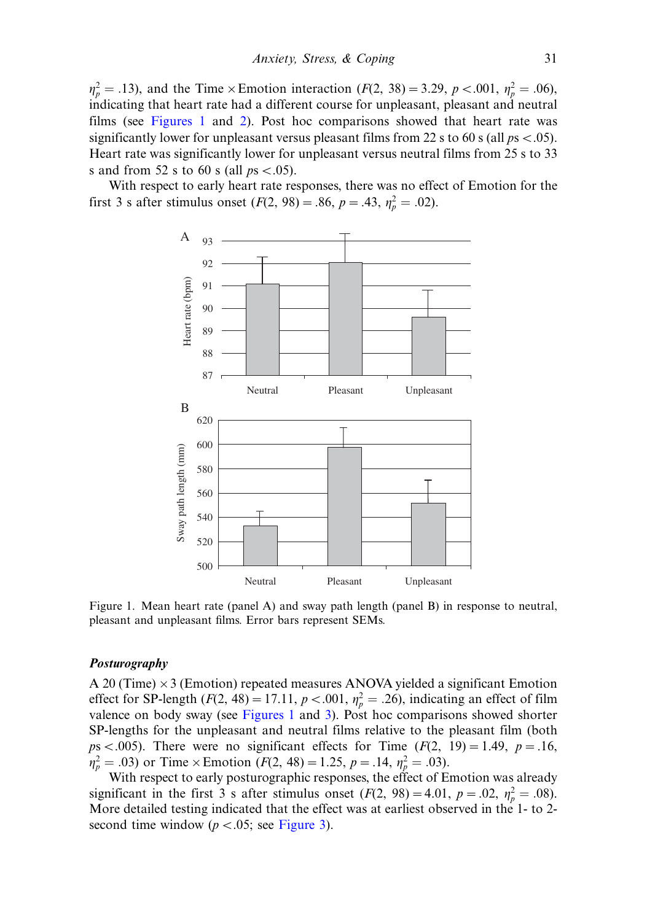$\eta_p^2 = .13$ ), and the Time × Emotion interaction (F(2, 38) = 3.29, p < 0.001,  $\eta_p^2 = .06$ ), indicating that heart rate had a different course for unpleasant, pleasant and neutral films (see Figures 1 and [2](#page-6-0)). Post hoc comparisons showed that heart rate was significantly lower for unpleasant versus pleasant films from 22 s to 60 s (all  $ps < .05$ ). Heart rate was significantly lower for unpleasant versus neutral films from 25 s to 33 s and from 52 s to 60 s (all  $ps < .05$ ).

With respect to early heart rate responses, there was no effect of Emotion for the first 3 s after stimulus onset  $(F(2, 98) = .86, p = .43, \eta_p^2 = .02)$ .



Figure 1. Mean heart rate (panel A) and sway path length (panel B) in response to neutral, pleasant and unpleasant films. Error bars represent SEMs.

## **Posturography**

A 20 (Time)  $\times$  3 (Emotion) repeated measures ANOVA yielded a significant Emotion effect for SP-length ( $F(2, 48) = 17.11$ ,  $p < .001$ ,  $\eta_p^2 = .26$ ), indicating an effect of film valence on body sway (see Figures 1 and [3\)](#page-7-0). Post hoc comparisons showed shorter SP-lengths for the unpleasant and neutral films relative to the pleasant film (both  $ps < .005$ ). There were no significant effects for Time ( $F(2, 19) = 1.49$ ,  $p = .16$ ,  $\eta_p^2 = .03$ ) or Time × Emotion ( $F(2, 48) = 1.25$ ,  $p = .14$ ,  $\eta_p^2 = .03$ ).

With respect to early posturographic responses, the effect of Emotion was already significant in the first 3 s after stimulus onset  $(F(2, 98) = 4.01, p = .02, \eta_p^2 = .08)$ . More detailed testing indicated that the effect was at earliest observed in the 1- to 2 second time window ( $p < .05$ ; see [Figure 3\)](#page-7-0).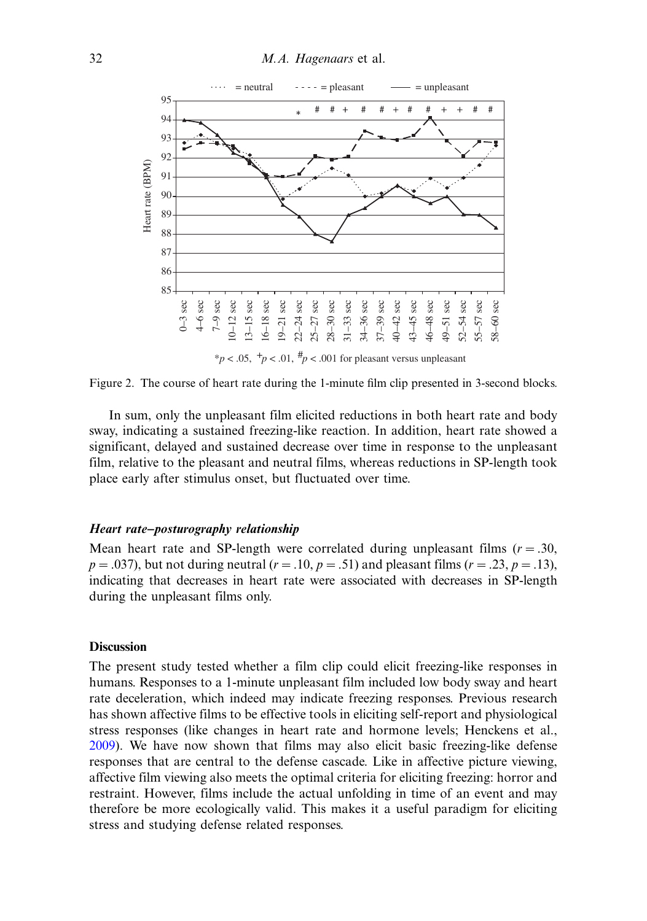<span id="page-6-0"></span>

Figure 2. The course of heart rate during the 1-minute film clip presented in 3-second blocks.

In sum, only the unpleasant film elicited reductions in both heart rate and body sway, indicating a sustained freezing-like reaction. In addition, heart rate showed a significant, delayed and sustained decrease over time in response to the unpleasant film, relative to the pleasant and neutral films, whereas reductions in SP-length took place early after stimulus onset, but fluctuated over time.

# Heart rate-posturography relationship

Mean heart rate and SP-length were correlated during unpleasant films  $(r=.30, ...)$  $p = .037$ , but not during neutral  $(r=.10, p=.51)$  and pleasant films  $(r=.23, p=.13)$ , indicating that decreases in heart rate were associated with decreases in SP-length during the unpleasant films only.

# **Discussion**

The present study tested whether a film clip could elicit freezing-like responses in humans. Responses to a 1-minute unpleasant film included low body sway and heart rate deceleration, which indeed may indicate freezing responses. Previous research has shown affective films to be effective tools in eliciting self-report and physiological stress responses (like changes in heart rate and hormone levels; Henckens et al., [2009\)](#page-10-0). We have now shown that films may also elicit basic freezing-like defense responses that are central to the defense cascade. Like in affective picture viewing, affective film viewing also meets the optimal criteria for eliciting freezing: horror and restraint. However, films include the actual unfolding in time of an event and may therefore be more ecologically valid. This makes it a useful paradigm for eliciting stress and studying defense related responses.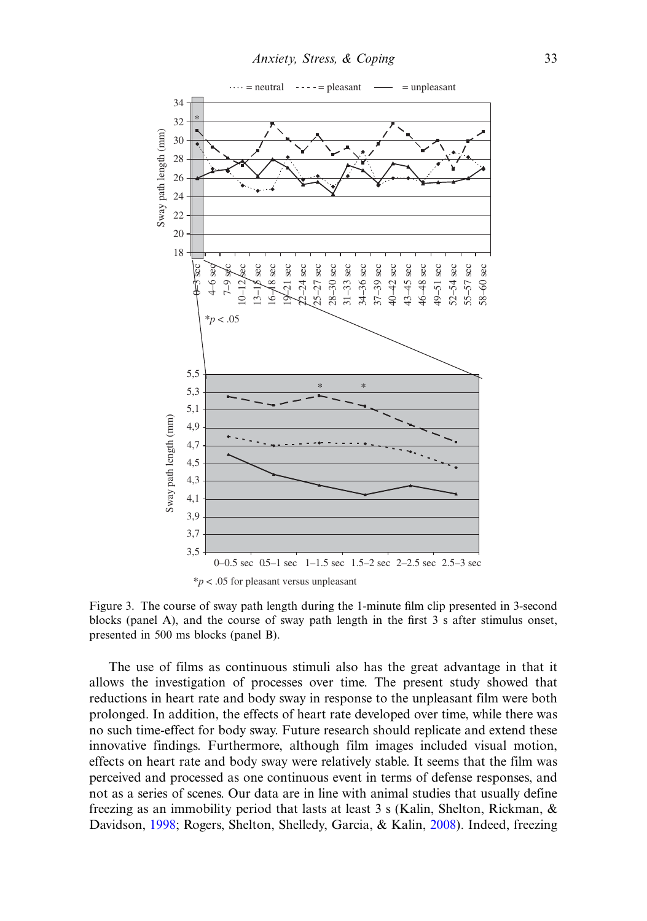<span id="page-7-0"></span>

Figure 3. The course of sway path length during the 1-minute film clip presented in 3-second blocks (panel A), and the course of sway path length in the first 3 s after stimulus onset, presented in 500 ms blocks (panel B).

The use of films as continuous stimuli also has the great advantage in that it allows the investigation of processes over time. The present study showed that reductions in heart rate and body sway in response to the unpleasant film were both prolonged. In addition, the effects of heart rate developed over time, while there was no such time-effect for body sway. Future research should replicate and extend these innovative findings. Furthermore, although film images included visual motion, effects on heart rate and body sway were relatively stable. It seems that the film was perceived and processed as one continuous event in terms of defense responses, and not as a series of scenes. Our data are in line with animal studies that usually define freezing as an immobility period that lasts at least 3 s (Kalin, Shelton, Rickman, & Davidson, [1998](#page-10-0); Rogers, Shelton, Shelledy, Garcia, & Kalin, [2008\)](#page-11-0). Indeed, freezing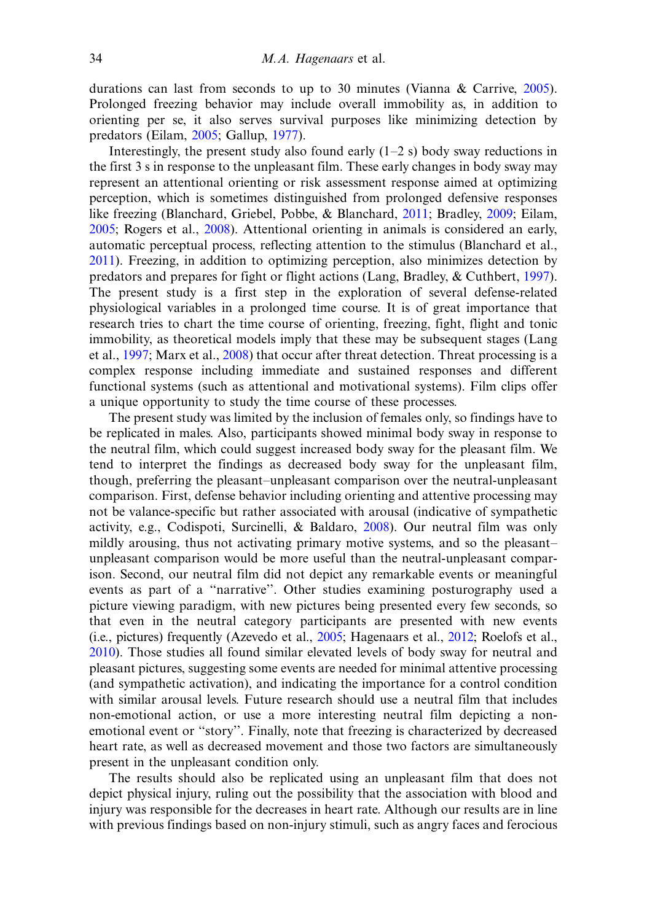durations can last from seconds to up to 30 minutes (Vianna & Carrive, [2005](#page-11-0)). Prolonged freezing behavior may include overall immobility as, in addition to orienting per se, it also serves survival purposes like minimizing detection by predators (Eilam, [2005](#page-10-0); Gallup, [1977](#page-10-0)).

Interestingly, the present study also found early  $(1-2s)$  body sway reductions in the first 3 s in response to the unpleasant film. These early changes in body sway may represent an attentional orienting or risk assessment response aimed at optimizing perception, which is sometimes distinguished from prolonged defensive responses like freezing (Blanchard, Griebel, Pobbe, & Blanchard, [2011;](#page-9-0) Bradley, [2009](#page-10-0); Eilam, [2005;](#page-10-0) Rogers et al., [2008\)](#page-11-0). Attentional orienting in animals is considered an early, automatic perceptual process, reflecting attention to the stimulus (Blanchard et al., [2011\)](#page-9-0). Freezing, in addition to optimizing perception, also minimizes detection by predators and prepares for fight or flight actions (Lang, Bradley, & Cuthbert, [1997](#page-10-0)). The present study is a first step in the exploration of several defense-related physiological variables in a prolonged time course. It is of great importance that research tries to chart the time course of orienting, freezing, fight, flight and tonic immobility, as theoretical models imply that these may be subsequent stages (Lang et al., [1997](#page-10-0); Marx et al., [2008\)](#page-10-0) that occur after threat detection. Threat processing is a complex response including immediate and sustained responses and different functional systems (such as attentional and motivational systems). Film clips offer a unique opportunity to study the time course of these processes.

The present study was limited by the inclusion of females only, so findings have to be replicated in males. Also, participants showed minimal body sway in response to the neutral film, which could suggest increased body sway for the pleasant film. We tend to interpret the findings as decreased body sway for the unpleasant film, though, preferring the pleasant-unpleasant comparison over the neutral-unpleasant comparison. First, defense behavior including orienting and attentive processing may not be valance-specific but rather associated with arousal (indicative of sympathetic activity, e.g., Codispoti, Surcinelli, & Baldaro, [2008](#page-10-0)). Our neutral film was only mildly arousing, thus not activating primary motive systems, and so the pleasant unpleasant comparison would be more useful than the neutral-unpleasant comparison. Second, our neutral film did not depict any remarkable events or meaningful events as part of a ''narrative''. Other studies examining posturography used a picture viewing paradigm, with new pictures being presented every few seconds, so that even in the neutral category participants are presented with new events (i.e., pictures) frequently (Azevedo et al., [2005](#page-9-0); Hagenaars et al., [2012](#page-10-0); Roelofs et al., [2010\)](#page-11-0). Those studies all found similar elevated levels of body sway for neutral and pleasant pictures, suggesting some events are needed for minimal attentive processing (and sympathetic activation), and indicating the importance for a control condition with similar arousal levels. Future research should use a neutral film that includes non-emotional action, or use a more interesting neutral film depicting a nonemotional event or ''story''. Finally, note that freezing is characterized by decreased heart rate, as well as decreased movement and those two factors are simultaneously present in the unpleasant condition only.

The results should also be replicated using an unpleasant film that does not depict physical injury, ruling out the possibility that the association with blood and injury was responsible for the decreases in heart rate. Although our results are in line with previous findings based on non-injury stimuli, such as angry faces and ferocious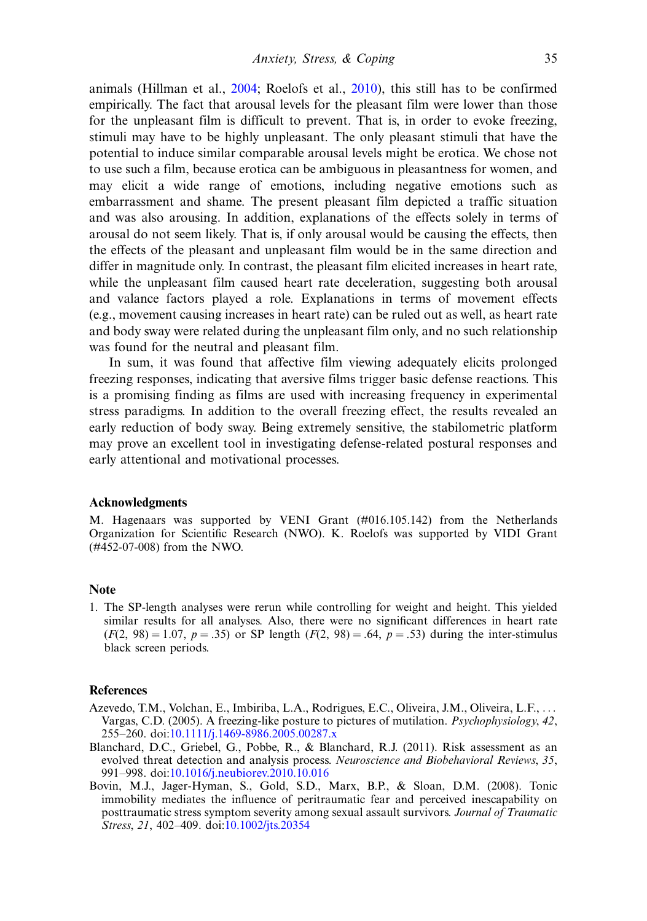<span id="page-9-0"></span>animals (Hillman et al., [2004](#page-10-0); Roelofs et al., [2010\)](#page-11-0), this still has to be confirmed empirically. The fact that arousal levels for the pleasant film were lower than those for the unpleasant film is difficult to prevent. That is, in order to evoke freezing, stimuli may have to be highly unpleasant. The only pleasant stimuli that have the potential to induce similar comparable arousal levels might be erotica. We chose not to use such a film, because erotica can be ambiguous in pleasantness for women, and may elicit a wide range of emotions, including negative emotions such as embarrassment and shame. The present pleasant film depicted a traffic situation and was also arousing. In addition, explanations of the effects solely in terms of arousal do not seem likely. That is, if only arousal would be causing the effects, then the effects of the pleasant and unpleasant film would be in the same direction and differ in magnitude only. In contrast, the pleasant film elicited increases in heart rate, while the unpleasant film caused heart rate deceleration, suggesting both arousal and valance factors played a role. Explanations in terms of movement effects (e.g., movement causing increases in heart rate) can be ruled out as well, as heart rate and body sway were related during the unpleasant film only, and no such relationship was found for the neutral and pleasant film.

In sum, it was found that affective film viewing adequately elicits prolonged freezing responses, indicating that aversive films trigger basic defense reactions. This is a promising finding as films are used with increasing frequency in experimental stress paradigms. In addition to the overall freezing effect, the results revealed an early reduction of body sway. Being extremely sensitive, the stabilometric platform may prove an excellent tool in investigating defense-related postural responses and early attentional and motivational processes.

#### Acknowledgments

M. Hagenaars was supported by VENI Grant (#016.105.142) from the Netherlands Organization for Scientific Research (NWO). K. Roelofs was supported by VIDI Grant (#452-07-008) from the NWO.

### **Note**

1. The SP-length analyses were rerun while controlling for weight and height. This yielded similar results for all analyses. Also, there were no significant differences in heart rate  $(F(2, 98) = 1.07, p = .35)$  or SP length  $(F(2, 98) = .64, p = .53)$  during the inter-stimulus black screen periods.

#### **References**

- Azevedo, T.M., Volchan, E., Imbiriba, L.A., Rodrigues, E.C., Oliveira, J.M., Oliveira, L.F., ... Vargas, C.D. (2005). A freezing-like posture to pictures of mutilation. Psychophysiology, 42, 255-260. doi:[10.1111/j.1469-8986.2005.00287.x](http://dx.doi.org/10.1111/j.1469-8986.2005.00287.x)
- Blanchard, D.C., Griebel, G., Pobbe, R., & Blanchard, R.J. (2011). Risk assessment as an evolved threat detection and analysis process. Neuroscience and Biobehavioral Reviews, 35, 991-998. doi:[10.1016/j.neubiorev.2010.10.016](http://dx.doi.org/10.1016/j.neubiorev.2010.10.016)
- Bovin, M.J., Jager-Hyman, S., Gold, S.D., Marx, B.P., & Sloan, D.M. (2008). Tonic immobility mediates the influence of peritraumatic fear and perceived inescapability on posttraumatic stress symptom severity among sexual assault survivors. Journal of Traumatic Stress, 21, 402-409. doi[:10.1002/jts.20354](http://dx.doi.org/10.1002/jts.20354)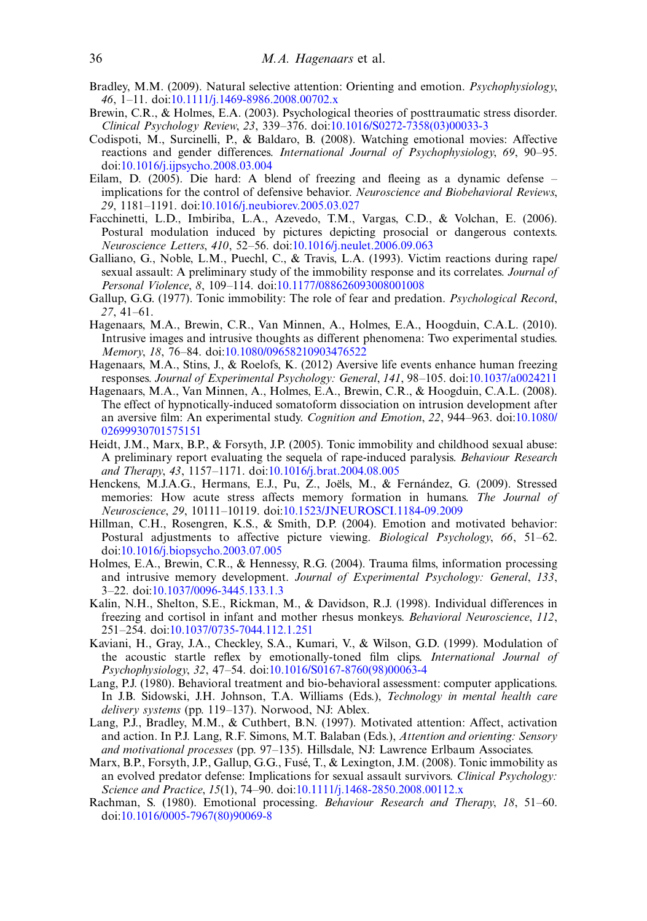- <span id="page-10-0"></span>Bradley, M.M. (2009). Natural selective attention: Orienting and emotion. Psychophysiology, 46, 1-11. doi[:10.1111/j.1469-8986.2008.00702.x](http://dx.doi.org/10.1111/j.1469-8986.2008.00702.x)
- Brewin, C.R., & Holmes, E.A. (2003). Psychological theories of posttraumatic stress disorder. Clinical Psychology Review, 23, 339-376. doi[:10.1016/S0272-7358\(03\)00033-3](http://dx.doi.org/10.1016/S0272-7358(03)00033-3)
- Codispoti, M., Surcinelli, P., & Baldaro, B. (2008). Watching emotional movies: Affective reactions and gender differences. International Journal of Psychophysiology, 69, 90–95. doi[:10.1016/j.ijpsycho.2008.03.004](http://dx.doi.org/10.1016/j.ijpsycho.2008.03.004)
- Eilam, D. (2005). Die hard: A blend of freezing and fleeing as a dynamic defense implications for the control of defensive behavior. Neuroscience and Biobehavioral Reviews, 29, 1181-1191. doi:[10.1016/j.neubiorev.2005.03.027](http://dx.doi.org/10.1016/j.neubiorev.2005.03.027)
- Facchinetti, L.D., Imbiriba, L.A., Azevedo, T.M., Vargas, C.D., & Volchan, E. (2006). Postural modulation induced by pictures depicting prosocial or dangerous contexts. Neuroscience Letters, 410, 52-56. doi[:10.1016/j.neulet.2006.09.063](http://dx.doi.org/10.1016/j.neulet.2006.09.063)
- Galliano, G., Noble, L.M., Puechl, C., & Travis, L.A. (1993). Victim reactions during rape/ sexual assault: A preliminary study of the immobility response and its correlates. Journal of Personal Violence, 8, 109-114. doi[:10.1177/088626093008001008](http://dx.doi.org/10.1177/088626093008001008)
- Gallup, G.G. (1977). Tonic immobility: The role of fear and predation. Psychological Record, 27, 41-61.
- Hagenaars, M.A., Brewin, C.R., Van Minnen, A., Holmes, E.A., Hoogduin, C.A.L. (2010). Intrusive images and intrusive thoughts as different phenomena: Two experimental studies. Memory, 18, 76-84. doi:[10.1080/09658210903476522](http://dx.doi.org/10.1080/09658210903476522)
- Hagenaars, M.A., Stins, J., & Roelofs, K. (2012) Aversive life events enhance human freezing responses. Journal of Experimental Psychology: General, 141, 98-105. doi:[10.1037/a0024211](http://dx.doi.org/10.1037/a0024211)
- Hagenaars, M.A., Van Minnen, A., Holmes, E.A., Brewin, C.R., & Hoogduin, C.A.L. (2008). The effect of hypnotically-induced somatoform dissociation on intrusion development after an aversive film: An experimental study. *Cognition and Emotion*, 22, 944–963. doi[:10.1080/](http://dx.doi.org/10.1080/02699930701575151) [02699930701575151](http://dx.doi.org/10.1080/02699930701575151)
- Heidt, J.M., Marx, B.P., & Forsyth, J.P. (2005). Tonic immobility and childhood sexual abuse: A preliminary report evaluating the sequela of rape-induced paralysis. Behaviour Research and Therapy, 43, 1157-1171. doi:[10.1016/j.brat.2004.08.005](http://dx.doi.org/10.1016/j.brat.2004.08.005)
- Henckens, M.J.A.G., Hermans, E.J., Pu, Z., Joëls, M., & Fernández, G. (2009). Stressed memories: How acute stress affects memory formation in humans. The Journal of Neuroscience, 29, 10111-10119. doi:[10.1523/JNEUROSCI.1184-09.2009](http://dx.doi.org/10.1523/JNEUROSCI.1184-09.2009)
- Hillman, C.H., Rosengren, K.S., & Smith, D.P. (2004). Emotion and motivated behavior: Postural adjustments to affective picture viewing. Biological Psychology, 66, 51–62. doi[:10.1016/j.biopsycho.2003.07.005](http://dx.doi.org/10.1016/j.biopsycho.2003.07.005)
- Holmes, E.A., Brewin, C.R., & Hennessy, R.G. (2004). Trauma films, information processing and intrusive memory development. Journal of Experimental Psychology: General, 133, 3-22. doi[:10.1037/0096-3445.133.1.3](http://dx.doi.org/10.1037/0096-3445.133.1.3)
- Kalin, N.H., Shelton, S.E., Rickman, M., & Davidson, R.J. (1998). Individual differences in freezing and cortisol in infant and mother rhesus monkeys. Behavioral Neuroscience, 112, 251-254. doi:[10.1037/0735-7044.112.1.251](http://dx.doi.org/10.1037/0735-7044.112.1.251)
- Kaviani, H., Gray, J.A., Checkley, S.A., Kumari, V., & Wilson, G.D. (1999). Modulation of the acoustic startle reflex by emotionally-toned film clips. International Journal of Psychophysiology, 32, 47-54. doi[:10.1016/S0167-8760\(98\)00063-4](http://dx.doi.org/10.1016/S0167-8760(98)00063-4)
- Lang, P.J. (1980). Behavioral treatment and bio-behavioral assessment: computer applications. In J.B. Sidowski, J.H. Johnson, T.A. Williams (Eds.), Technology in mental health care delivery systems (pp. 119–137). Norwood, NJ: Ablex.
- Lang, P.J., Bradley, M.M., & Cuthbert, B.N. (1997). Motivated attention: Affect, activation and action. In P.J. Lang, R.F. Simons, M.T. Balaban (Eds.), Attention and orienting: Sensory and motivational processes (pp. 97-135). Hillsdale, NJ: Lawrence Erlbaum Associates.
- Marx, B.P., Forsyth, J.P., Gallup, G.G., Fusé, T., & Lexington, J.M. (2008). Tonic immobility as an evolved predator defense: Implications for sexual assault survivors. Clinical Psychology: Science and Practice, 15(1), 74-90. doi:[10.1111/j.1468-2850.2008.00112.x](http://dx.doi.org/10.1111/j.1468-2850.2008.00112.x)
- Rachman, S. (1980). Emotional processing. Behaviour Research and Therapy, 18, 51-60. doi[:10.1016/0005-7967\(80\)90069-8](http://dx.doi.org/10.1016/0005-7967(80)90069-8)